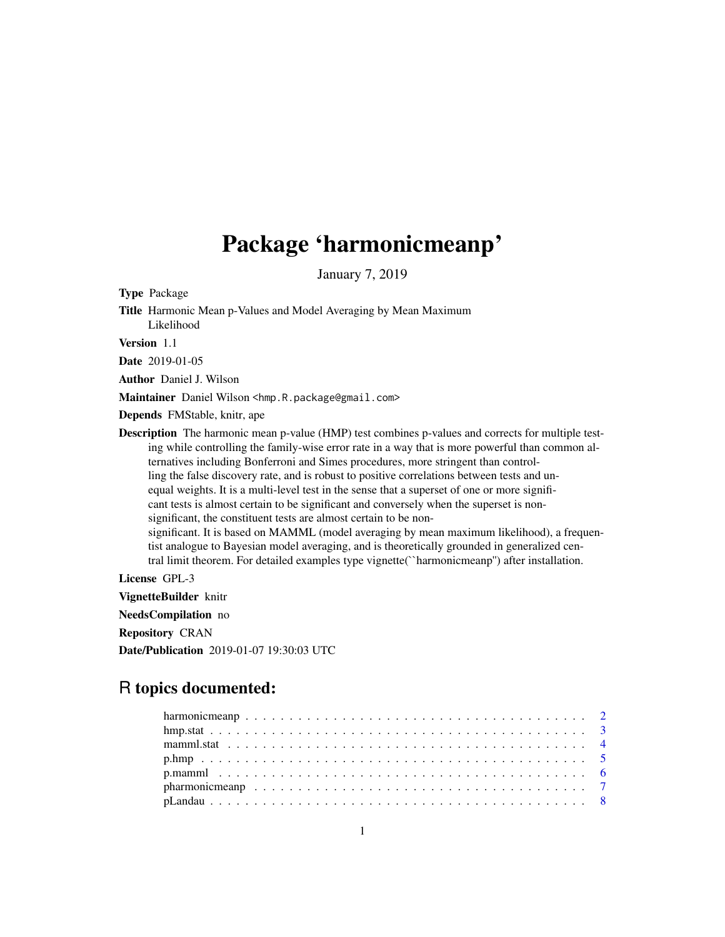## Package 'harmonicmeanp'

January 7, 2019

Type Package

Title Harmonic Mean p-Values and Model Averaging by Mean Maximum Likelihood

Version 1.1

Date 2019-01-05

Author Daniel J. Wilson

Maintainer Daniel Wilson <hmp.R.package@gmail.com>

Depends FMStable, knitr, ape

Description The harmonic mean p-value (HMP) test combines p-values and corrects for multiple testing while controlling the family-wise error rate in a way that is more powerful than common alternatives including Bonferroni and Simes procedures, more stringent than controlling the false discovery rate, and is robust to positive correlations between tests and unequal weights. It is a multi-level test in the sense that a superset of one or more significant tests is almost certain to be significant and conversely when the superset is nonsignificant, the constituent tests are almost certain to be nonsignificant. It is based on MAMML (model averaging by mean maximum likelihood), a frequentist analogue to Bayesian model averaging, and is theoretically grounded in generalized central limit theorem. For detailed examples type vignette(``harmonicmeanp'') after installation.

License GPL-3

VignetteBuilder knitr

NeedsCompilation no

Repository CRAN

Date/Publication 2019-01-07 19:30:03 UTC

## R topics documented:

| pharmonic meanp $\ldots \ldots \ldots \ldots \ldots \ldots \ldots \ldots \ldots \ldots \ldots \ldots$ |  |
|-------------------------------------------------------------------------------------------------------|--|
|                                                                                                       |  |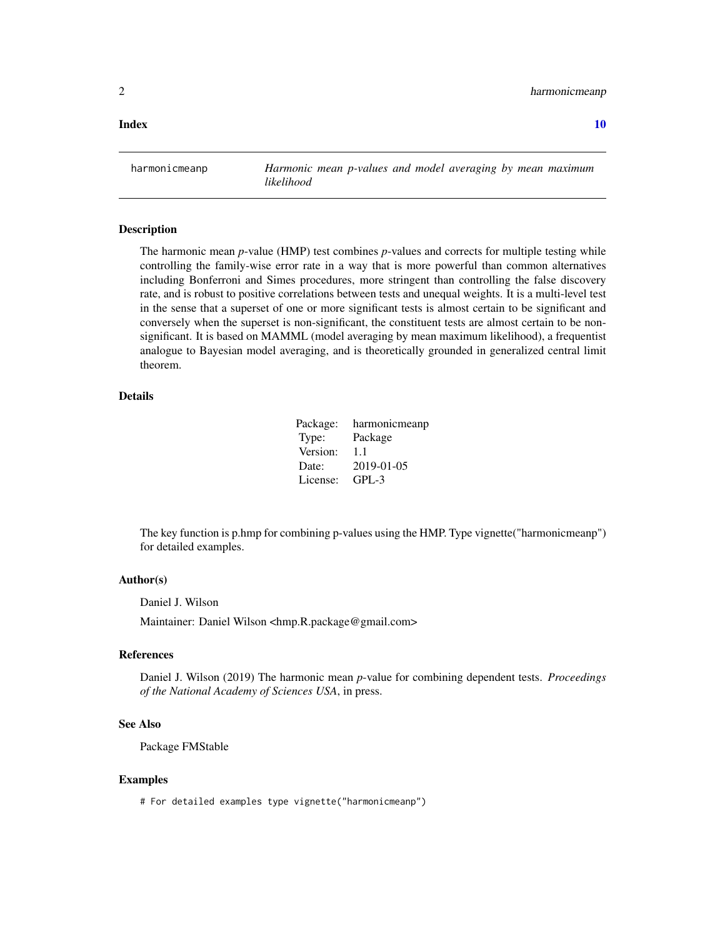<span id="page-1-0"></span>2 harmonicmeanp

#### $\blacksquare$

harmonicmeanp *Harmonic mean p-values and model averaging by mean maximum likelihood*

#### **Description**

The harmonic mean *p*-value (HMP) test combines *p*-values and corrects for multiple testing while controlling the family-wise error rate in a way that is more powerful than common alternatives including Bonferroni and Simes procedures, more stringent than controlling the false discovery rate, and is robust to positive correlations between tests and unequal weights. It is a multi-level test in the sense that a superset of one or more significant tests is almost certain to be significant and conversely when the superset is non-significant, the constituent tests are almost certain to be nonsignificant. It is based on MAMML (model averaging by mean maximum likelihood), a frequentist analogue to Bayesian model averaging, and is theoretically grounded in generalized central limit theorem.

#### Details

Package: harmonicmeanp Type: Package Version: 1.1 Date: 2019-01-05 License: GPL-3

The key function is p.hmp for combining p-values using the HMP. Type vignette("harmonicmeanp") for detailed examples.

#### Author(s)

Daniel J. Wilson

Maintainer: Daniel Wilson <hmp.R.package@gmail.com>

#### References

Daniel J. Wilson (2019) The harmonic mean *p*-value for combining dependent tests. *Proceedings of the National Academy of Sciences USA*, in press.

#### See Also

Package FMStable

#### Examples

# For detailed examples type vignette("harmonicmeanp")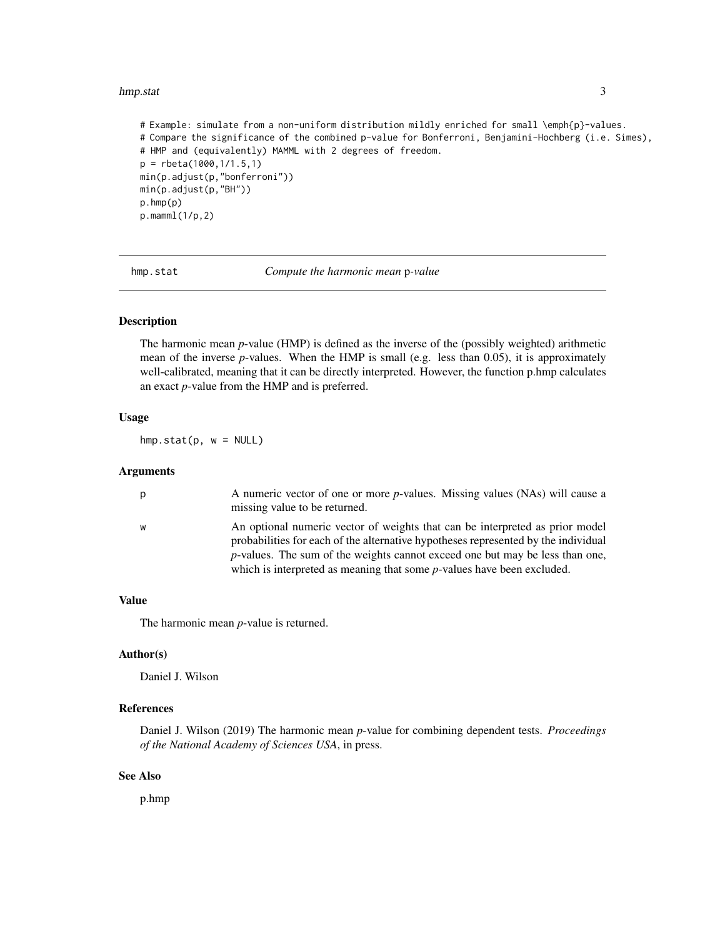#### <span id="page-2-0"></span>hmp.stat 3

# Example: simulate from a non-uniform distribution mildly enriched for small \emph{p}-values. # Compare the significance of the combined p-value for Bonferroni, Benjamini-Hochberg (i.e. Simes), # HMP and (equivalently) MAMML with 2 degrees of freedom. p = rbeta(1000,1/1.5,1) min(p.adjust(p,"bonferroni")) min(p.adjust(p,"BH")) p.hmp(p) p.mamml(1/p,2)

hmp.stat *Compute the harmonic mean* p*-value*

#### Description

The harmonic mean *p*-value (HMP) is defined as the inverse of the (possibly weighted) arithmetic mean of the inverse *p*-values. When the HMP is small (e.g. less than 0.05), it is approximately well-calibrated, meaning that it can be directly interpreted. However, the function p.hmp calculates an exact *p*-value from the HMP and is preferred.

#### Usage

 $hmp.start(p, w = NULL)$ 

#### Arguments

| p | A numeric vector of one or more <i>p</i> -values. Missing values (NAs) will cause a<br>missing value to be returned.                                                                                                                                                                                                                    |
|---|-----------------------------------------------------------------------------------------------------------------------------------------------------------------------------------------------------------------------------------------------------------------------------------------------------------------------------------------|
| W | An optional numeric vector of weights that can be interpreted as prior model<br>probabilities for each of the alternative hypotheses represented by the individual<br><i>p</i> -values. The sum of the weights cannot exceed one but may be less than one,<br>which is interpreted as meaning that some $p$ -values have been excluded. |

#### Value

The harmonic mean *p*-value is returned.

#### Author(s)

Daniel J. Wilson

#### References

Daniel J. Wilson (2019) The harmonic mean *p*-value for combining dependent tests. *Proceedings of the National Academy of Sciences USA*, in press.

#### See Also

p.hmp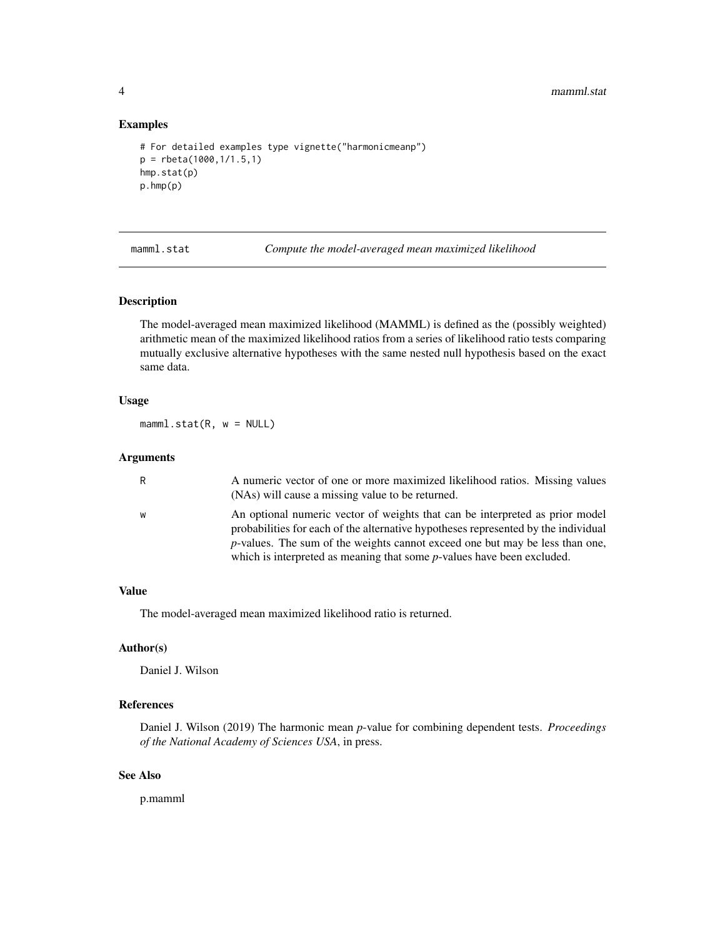4 mamml.stat

#### Examples

```
# For detailed examples type vignette("harmonicmeanp")
p = rbeta(1000,1/1.5,1)
hmp.stat(p)
p.hmp(p)
```
mamml.stat *Compute the model-averaged mean maximized likelihood*

#### Description

The model-averaged mean maximized likelihood (MAMML) is defined as the (possibly weighted) arithmetic mean of the maximized likelihood ratios from a series of likelihood ratio tests comparing mutually exclusive alternative hypotheses with the same nested null hypothesis based on the exact same data.

#### Usage

 $mamm1.start(R, w = NULL)$ 

#### Arguments

| R | A numeric vector of one or more maximized likelihood ratios. Missing values<br>(NAs) will cause a missing value to be returned.                                                                                                                            |
|---|------------------------------------------------------------------------------------------------------------------------------------------------------------------------------------------------------------------------------------------------------------|
| W | An optional numeric vector of weights that can be interpreted as prior model<br>probabilities for each of the alternative hypotheses represented by the individual<br><i>p</i> -values. The sum of the weights cannot exceed one but may be less than one, |
|   | which is interpreted as meaning that some $p$ -values have been excluded.                                                                                                                                                                                  |

#### Value

The model-averaged mean maximized likelihood ratio is returned.

#### Author(s)

Daniel J. Wilson

#### References

Daniel J. Wilson (2019) The harmonic mean *p*-value for combining dependent tests. *Proceedings of the National Academy of Sciences USA*, in press.

#### See Also

p.mamml

<span id="page-3-0"></span>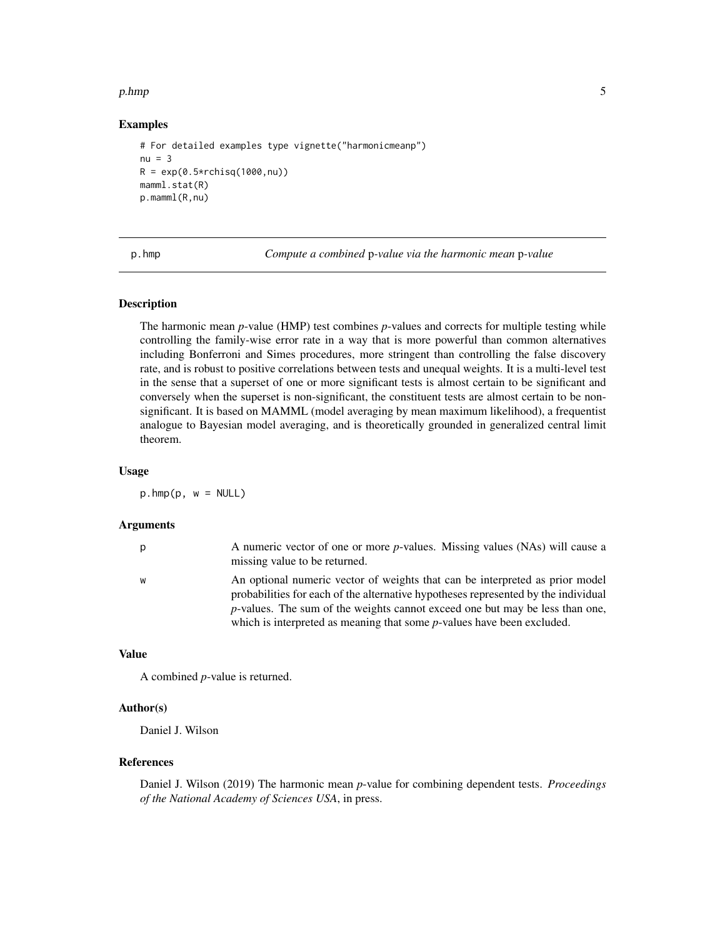#### <span id="page-4-0"></span> $p.hmp$  5

#### Examples

```
# For detailed examples type vignette("harmonicmeanp")
nu = 3R = exp(0.5*rchisq(1000, nu))mamml.stat(R)
p.mamml(R,nu)
```
p.hmp *Compute a combined* p*-value via the harmonic mean* p*-value*

#### Description

The harmonic mean *p*-value (HMP) test combines *p*-values and corrects for multiple testing while controlling the family-wise error rate in a way that is more powerful than common alternatives including Bonferroni and Simes procedures, more stringent than controlling the false discovery rate, and is robust to positive correlations between tests and unequal weights. It is a multi-level test in the sense that a superset of one or more significant tests is almost certain to be significant and conversely when the superset is non-significant, the constituent tests are almost certain to be nonsignificant. It is based on MAMML (model averaging by mean maximum likelihood), a frequentist analogue to Bayesian model averaging, and is theoretically grounded in generalized central limit theorem.

#### Usage

 $p.hmp(p, w = NULL)$ 

#### Arguments

| p | A numeric vector of one or more <i>p</i> -values. Missing values (NAs) will cause a<br>missing value to be returned.                                                                                                                                       |
|---|------------------------------------------------------------------------------------------------------------------------------------------------------------------------------------------------------------------------------------------------------------|
| W | An optional numeric vector of weights that can be interpreted as prior model<br>probabilities for each of the alternative hypotheses represented by the individual<br><i>p</i> -values. The sum of the weights cannot exceed one but may be less than one, |
|   | which is interpreted as meaning that some $p$ -values have been excluded.                                                                                                                                                                                  |

#### Value

A combined *p*-value is returned.

#### Author(s)

Daniel J. Wilson

#### References

Daniel J. Wilson (2019) The harmonic mean *p*-value for combining dependent tests. *Proceedings of the National Academy of Sciences USA*, in press.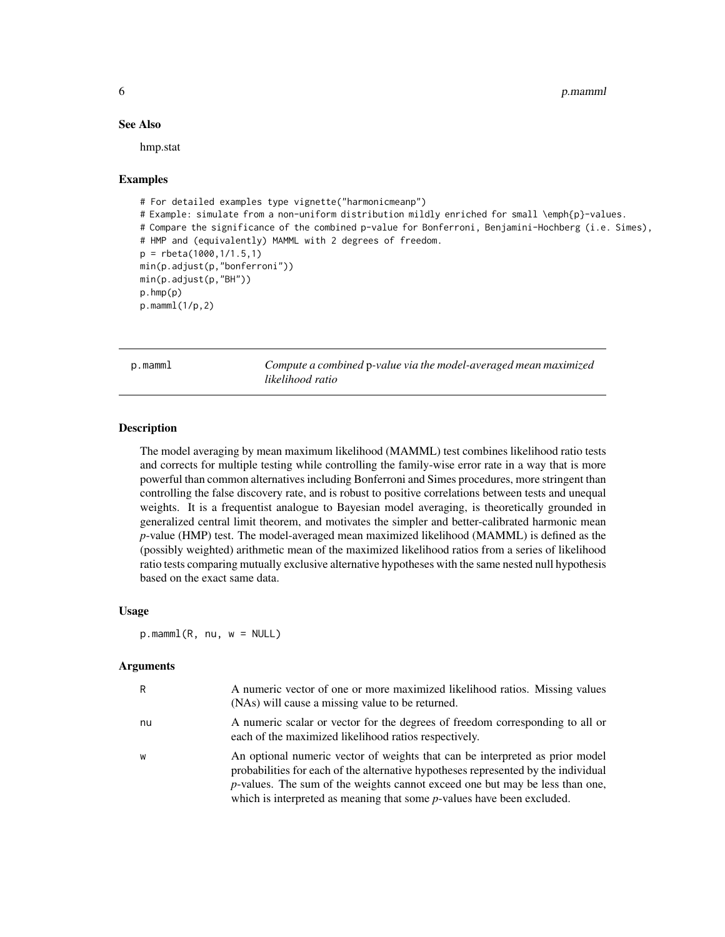#### See Also

hmp.stat

#### Examples

```
# For detailed examples type vignette("harmonicmeanp")
# Example: simulate from a non-uniform distribution mildly enriched for small \emph{p}-values.
# Compare the significance of the combined p-value for Bonferroni, Benjamini-Hochberg (i.e. Simes),
# HMP and (equivalently) MAMML with 2 degrees of freedom.
p = rbeta(1000,1/1.5,1)
min(p.adjust(p,"bonferroni"))
min(p.adjust(p,"BH"))
p.hmp(p)
p.mamml(1/p,2)
```
p.mamml *Compute a combined* p*-value via the model-averaged mean maximized likelihood ratio*

#### **Description**

The model averaging by mean maximum likelihood (MAMML) test combines likelihood ratio tests and corrects for multiple testing while controlling the family-wise error rate in a way that is more powerful than common alternatives including Bonferroni and Simes procedures, more stringent than controlling the false discovery rate, and is robust to positive correlations between tests and unequal weights. It is a frequentist analogue to Bayesian model averaging, is theoretically grounded in generalized central limit theorem, and motivates the simpler and better-calibrated harmonic mean *p*-value (HMP) test. The model-averaged mean maximized likelihood (MAMML) is defined as the (possibly weighted) arithmetic mean of the maximized likelihood ratios from a series of likelihood ratio tests comparing mutually exclusive alternative hypotheses with the same nested null hypothesis based on the exact same data.

#### Usage

 $p.mamm1(R, nu, w = NULL)$ 

#### **Arguments**

| R  | A numeric vector of one or more maximized likelihood ratios. Missing values<br>(NAs) will cause a missing value to be returned.                                                                                                                                                                                                         |
|----|-----------------------------------------------------------------------------------------------------------------------------------------------------------------------------------------------------------------------------------------------------------------------------------------------------------------------------------------|
| nu | A numeric scalar or vector for the degrees of freedom corresponding to all or<br>each of the maximized likelihood ratios respectively.                                                                                                                                                                                                  |
| W  | An optional numeric vector of weights that can be interpreted as prior model<br>probabilities for each of the alternative hypotheses represented by the individual<br><i>p</i> -values. The sum of the weights cannot exceed one but may be less than one,<br>which is interpreted as meaning that some $p$ -values have been excluded. |

<span id="page-5-0"></span>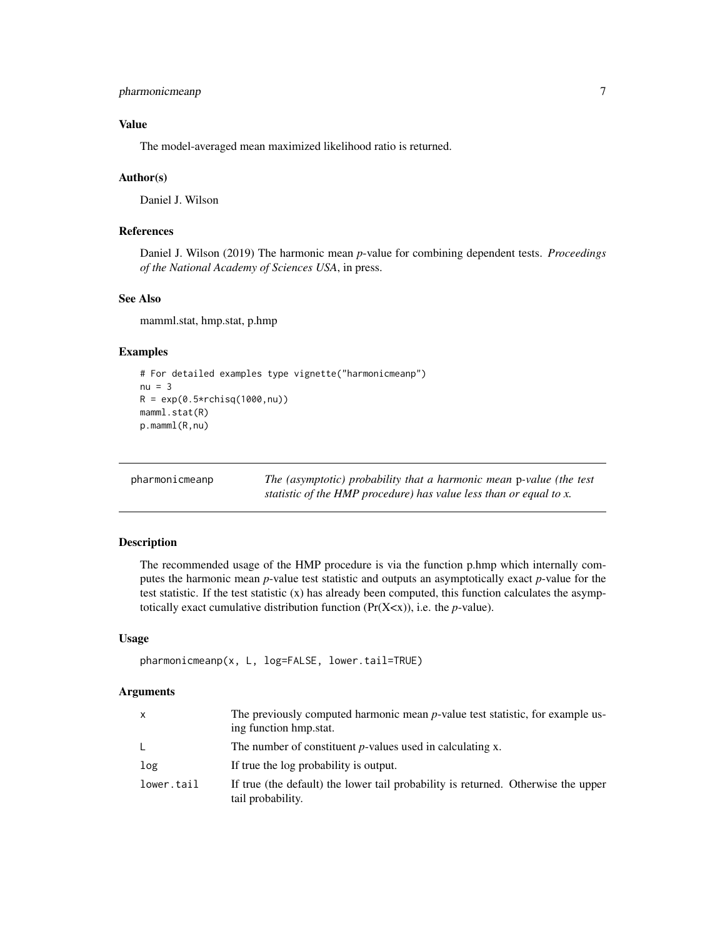```
pharmonicmeanp 7
```
#### Value

The model-averaged mean maximized likelihood ratio is returned.

#### Author(s)

Daniel J. Wilson

#### References

Daniel J. Wilson (2019) The harmonic mean *p*-value for combining dependent tests. *Proceedings of the National Academy of Sciences USA*, in press.

#### See Also

mamml.stat, hmp.stat, p.hmp

#### Examples

```
# For detailed examples type vignette("harmonicmeanp")
nu = 3R = exp(0.5*rchisq(1000, nu))mamml.stat(R)
p.mamml(R,nu)
```

| pharmonicmeanp | The (asymptotic) probability that a harmonic mean p-value (the test |
|----------------|---------------------------------------------------------------------|
|                | statistic of the HMP procedure) has value less than or equal to x.  |

#### Description

The recommended usage of the HMP procedure is via the function p.hmp which internally computes the harmonic mean *p*-value test statistic and outputs an asymptotically exact *p*-value for the test statistic. If the test statistic  $(x)$  has already been computed, this function calculates the asymptotically exact cumulative distribution function (Pr(X<x)), i.e. the *p*-value).

#### Usage

```
pharmonicmeanp(x, L, log=FALSE, lower.tail=TRUE)
```
#### Arguments

| X          | The previously computed harmonic mean <i>p</i> -value test statistic, for example us-<br>ing function hmp.stat. |
|------------|-----------------------------------------------------------------------------------------------------------------|
| L.         | The number of constituent $p$ -values used in calculating x.                                                    |
| log        | If true the log probability is output.                                                                          |
| lower.tail | If true (the default) the lower tail probability is returned. Otherwise the upper<br>tail probability.          |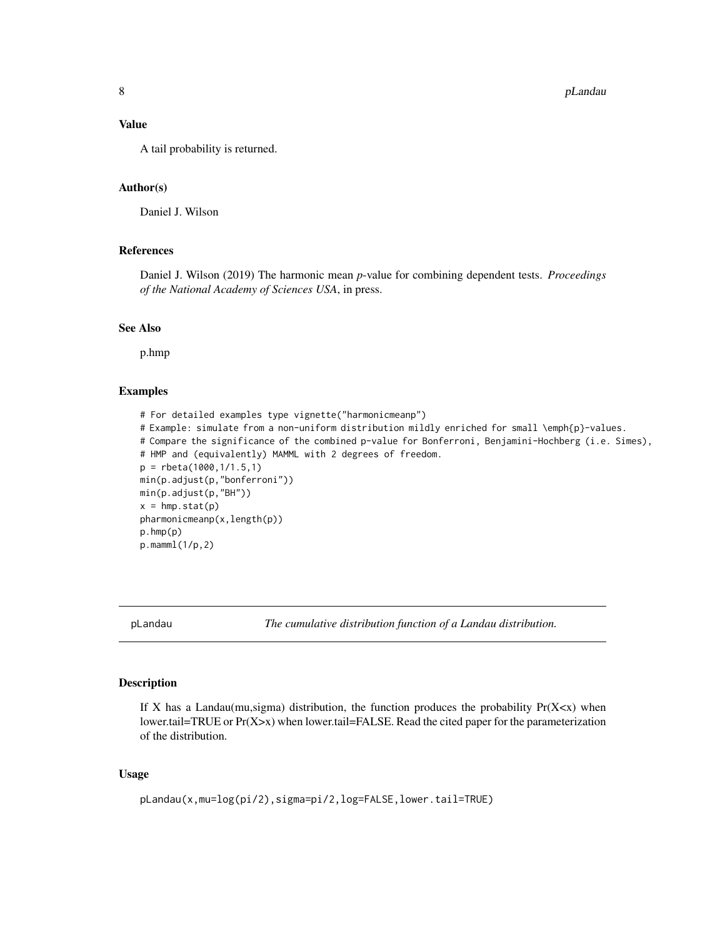#### <span id="page-7-0"></span>Value

A tail probability is returned.

#### Author(s)

Daniel J. Wilson

#### References

Daniel J. Wilson (2019) The harmonic mean *p*-value for combining dependent tests. *Proceedings of the National Academy of Sciences USA*, in press.

#### See Also

p.hmp

#### Examples

```
# For detailed examples type vignette("harmonicmeanp")
# Example: simulate from a non-uniform distribution mildly enriched for small \emph{p}-values.
# Compare the significance of the combined p-value for Bonferroni, Benjamini-Hochberg (i.e. Simes),
# HMP and (equivalently) MAMML with 2 degrees of freedom.
p = rbeta(1000,1/1.5,1)
min(p.adjust(p,"bonferroni"))
min(p.adjust(p,"BH"))
x = hmp.start(p)pharmonicmeanp(x,length(p))
p.hmp(p)
p.mamml(1/p,2)
```
pLandau *The cumulative distribution function of a Landau distribution.*

#### Description

If X has a Landau(mu,sigma) distribution, the function produces the probability  $Pr(X < x)$  when lower.tail=TRUE or Pr(X>x) when lower.tail=FALSE. Read the cited paper for the parameterization of the distribution.

#### Usage

```
pLandau(x,mu=log(pi/2),sigma=pi/2,log=FALSE,lower.tail=TRUE)
```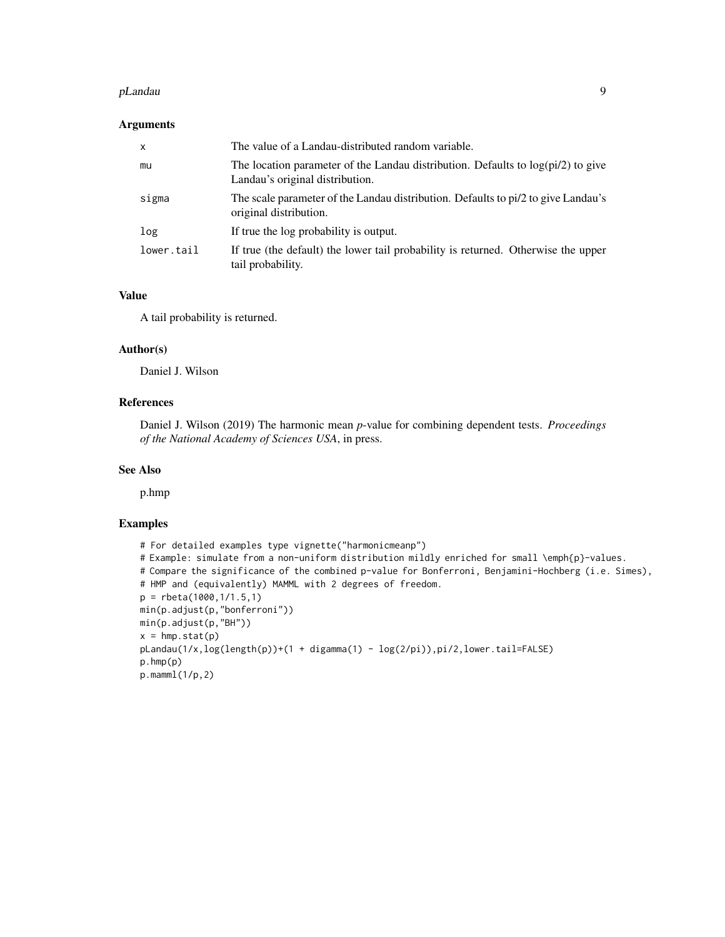#### pLandau 9

#### Arguments

| $\mathsf{x}$ | The value of a Landau-distributed random variable.                                                                    |
|--------------|-----------------------------------------------------------------------------------------------------------------------|
| mu           | The location parameter of the Landau distribution. Defaults to $log(pi/2)$ to give<br>Landau's original distribution. |
| sigma        | The scale parameter of the Landau distribution. Defaults to pi/2 to give Landau's<br>original distribution.           |
| log          | If true the log probability is output.                                                                                |
| lower.tail   | If true (the default) the lower tail probability is returned. Otherwise the upper<br>tail probability.                |

#### Value

A tail probability is returned.

#### Author(s)

Daniel J. Wilson

#### References

Daniel J. Wilson (2019) The harmonic mean *p*-value for combining dependent tests. *Proceedings of the National Academy of Sciences USA*, in press.

#### See Also

p.hmp

#### Examples

```
# For detailed examples type vignette("harmonicmeanp")
# Example: simulate from a non-uniform distribution mildly enriched for small \emph{p}-values.
# Compare the significance of the combined p-value for Bonferroni, Benjamini-Hochberg (i.e. Simes),
# HMP and (equivalently) MAMML with 2 degrees of freedom.
p = rbeta(1000,1/1.5,1)
min(p.adjust(p,"bonferroni"))
min(p.adjust(p,"BH"))
x = hmp.start(p)pLandau(1/x,log(length(p))+(1 + digamma(1) - log(2/pi)),pi/2,lower.tail=FALSE)
p.hmp(p)
p.mamml(1/p,2)
```